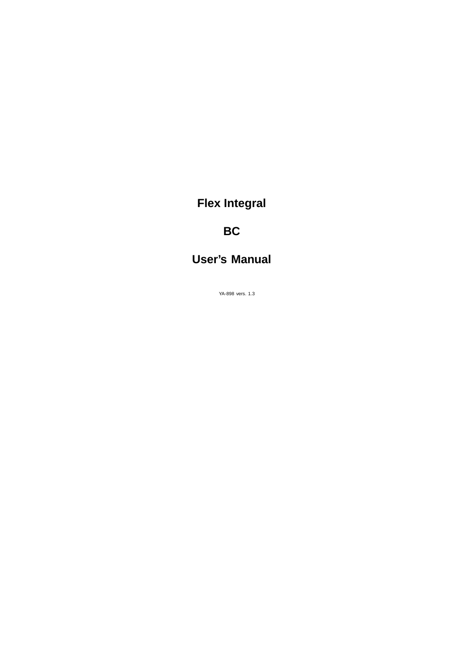# **Flex Integral**

# **BC**

# **User's Manual**

YA-898 vers. 1.3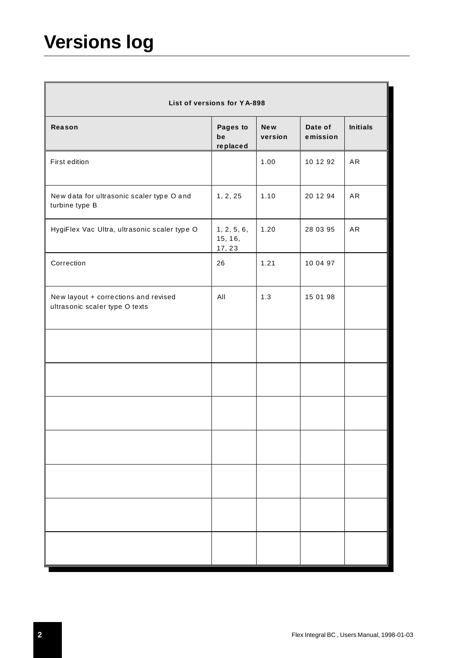# **Versions log**

| List of versions for YA-898                                            |                                  |                       |                     |                 |
|------------------------------------------------------------------------|----------------------------------|-----------------------|---------------------|-----------------|
| Reason                                                                 | Pages to<br>be<br>replaced       | <b>New</b><br>version | Date of<br>emission | <b>Initials</b> |
| First edition                                                          |                                  | 1.00                  | 10 12 92            | AR              |
| New data for ultrasonic scaler type O and<br>turbine type B            | 1, 2, 25                         | 1.10                  | 20 12 94            | A <sub>R</sub>  |
| HygiFlex Vac Ultra, ultrasonic scaler type O                           | 1, 2, 5, 6,<br>15, 16,<br>17, 23 | 1.20                  | 28 03 95            | AR              |
| Correction                                                             | 26                               | 1.21                  | 10 04 97            |                 |
| New layout + corrections and revised<br>ultrasonic scaler type O texts | All                              | 1.3                   | 15 01 98            |                 |
|                                                                        |                                  |                       |                     |                 |
|                                                                        |                                  |                       |                     |                 |
|                                                                        |                                  |                       |                     |                 |
|                                                                        |                                  |                       |                     |                 |
|                                                                        |                                  |                       |                     |                 |
|                                                                        |                                  |                       |                     |                 |
|                                                                        |                                  |                       |                     |                 |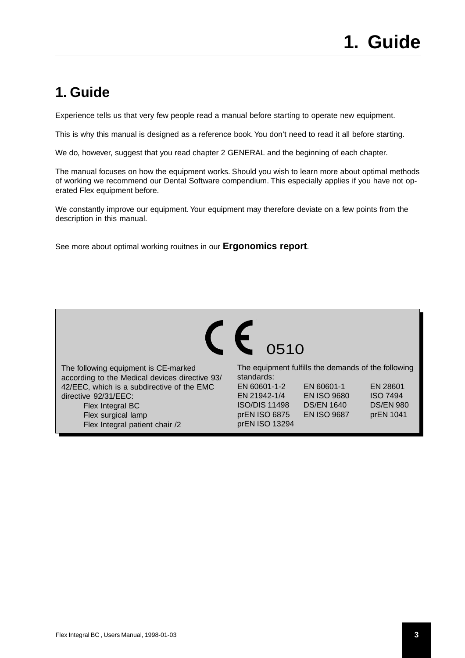# <span id="page-2-0"></span>**1. Guide**

Experience tells us that very few people read a manual before starting to operate new equipment.

This is why this manual is designed as a reference book. You don't need to read it all before starting.

We do, however, suggest that you read chapter 2 GENERAL and the beginning of each chapter.

The manual focuses on how the equipment works. Should you wish to learn more about optimal methods of working we recommend our Dental Software compendium. This especially applies if you have not operated Flex equipment before.

We constantly improve our equipment. Your equipment may therefore deviate on a few points from the description in this manual.

See more about optimal working rouitnes in our **Ergonomics report**.



The following equipment is CE-marked according to the Medical devices directive 93/ 42/EEC, which is a subdirective of the EMC directive 92/31/EEC: Flex Integral BC Flex surgical lamp Flex Integral patient chair /2

The equipment fulfills the demands of the following standards: EN 60601-1-2 EN 60601-1 EN 28601 EN 21942-1/4 EN ISO 9680 ISO 7494

ISO/DIS 11498 DS/EN 1640 DS/EN 980 prEN ISO 6875 EN ISO 9687 prEN 1041 prEN ISO 13294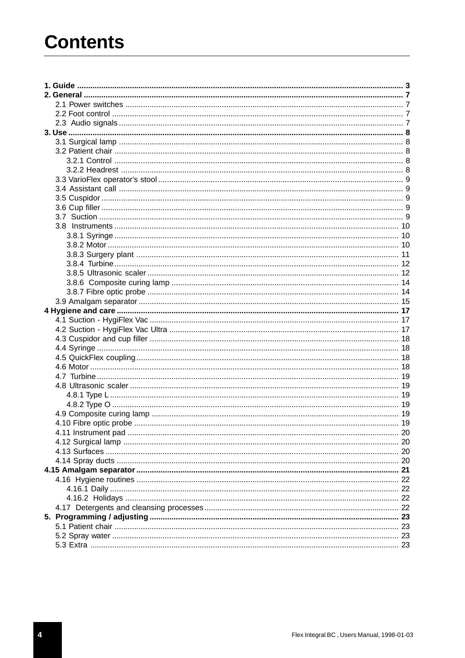# **Contents**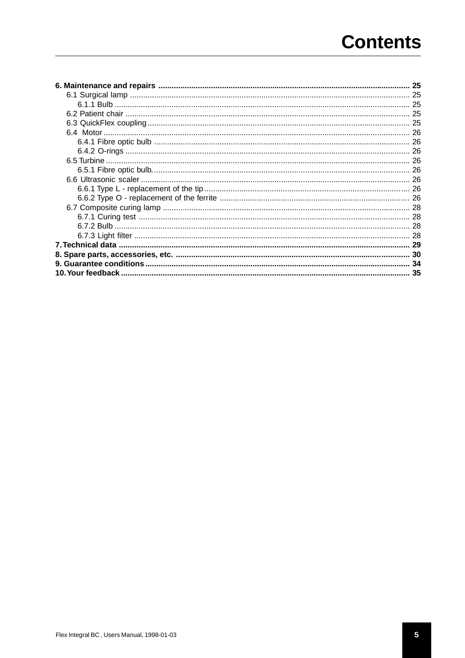# **Contents**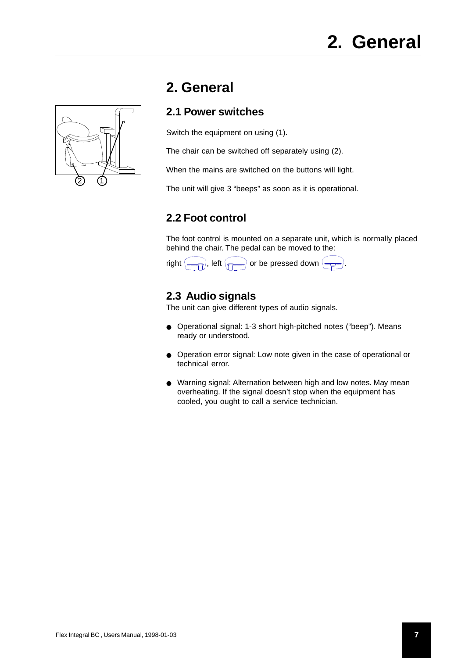<span id="page-6-0"></span>

# **2. General**

# **2.1 Power switches**

Switch the equipment on using (1).

The chair can be switched off separately using (2).

When the mains are switched on the buttons will light.

The unit will give 3 "beeps" as soon as it is operational.

# **2.2 Foot control**

The foot control is mounted on a separate unit, which is normally placed behind the chair. The pedal can be moved to the:



# **2.3 Audio signals**

The unit can give different types of audio signals.

- Operational signal: 1-3 short high-pitched notes ("beep"). Means ready or understood.
- Operation error signal: Low note given in the case of operational or technical error.
- Warning signal: Alternation between high and low notes. May mean overheating. If the signal doesn't stop when the equipment has cooled, you ought to call a service technician.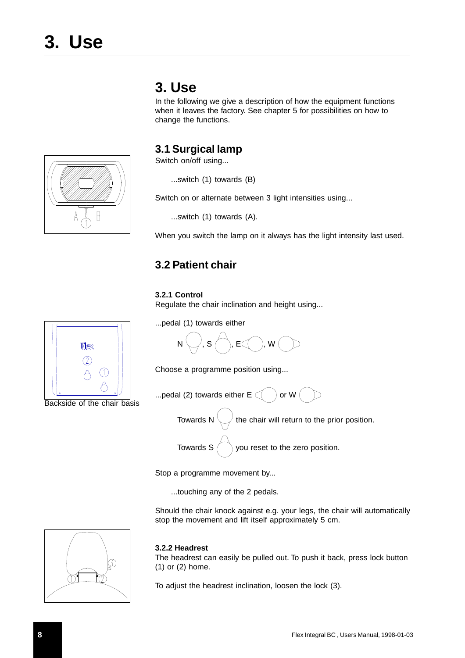# **3. Use**

In the following we give a description of how the equipment functions when it leaves the factory. See chapter 5 for possibilities on how to change the functions.

### **3.1 Surgical lamp**

Switch on/off using...

...switch (1) towards (B)

Switch on or alternate between 3 light intensities using...

...switch (1) towards (A).

When you switch the lamp on it always has the light intensity last used.

# **3.2 Patient chair**

#### **3.2.1 Control**

Regulate the chair inclination and height using...



Choose a programme position using...



Towards N  $\setminus$  the chair will return to the prior position.

Towards  $S \n\bigcap$  you reset to the zero position.

Stop a programme movement by...

...touching any of the 2 pedals.

Should the chair knock against e.g. your legs, the chair will automatically stop the movement and lift itself approximately 5 cm.

#### **3.2.2 Headrest**

The headrest can easily be pulled out. To push it back, press lock button (1) or (2) home.

To adjust the headrest inclination, loosen the lock (3).



Backside of the chair basis

<span id="page-7-0"></span>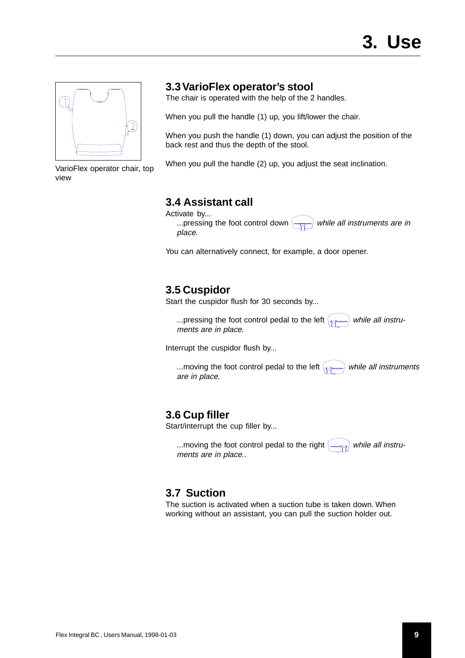<span id="page-8-0"></span>

VarioFlex operator chair, top view

### **3.3 VarioFlex operator's stool**

The chair is operated with the help of the 2 handles.

When you pull the handle (1) up, you lift/lower the chair.

When you push the handle (1) down, you can adjust the position of the back rest and thus the depth of the stool.

When you pull the handle (2) up, you adjust the seat inclination.

# **3.4 Assistant call**

Activate by...

... pressing the foot control down  $\left(\frac{m}{n}\right)$  while all instruments are in place.

You can alternatively connect, for example, a door opener.

## **3.5 Cuspidor**

Start the cuspidor flush for 30 seconds by...

...pressing the foot control pedal to the left  $\leftarrow$  while all instruments are in place.

Interrupt the cuspidor flush by...

...moving the foot control pedal to the left  $\leftarrow$  while all instruments are in place.

### **3.6 Cup filler**

Start/interrupt the cup filler by...

...moving the foot control pedal to the right  $\leftarrow$ ments are in place..

# **3.7 Suction**

The suction is activated when a suction tube is taken down. When working without an assistant, you can pull the suction holder out.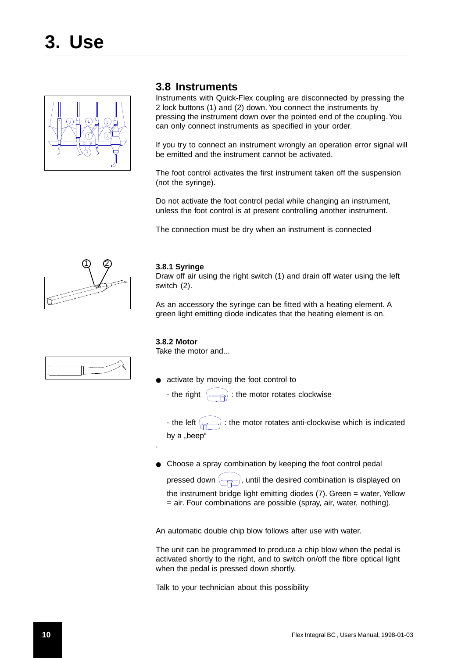<span id="page-9-0"></span>

### **3.8 Instruments**

Instruments with Quick-Flex coupling are disconnected by pressing the 2 lock buttons (1) and (2) down. You connect the instruments by pressing the instrument down over the pointed end of the coupling. You can only connect instruments as specified in your order.

If you try to connect an instrument wrongly an operation error signal will be emitted and the instrument cannot be activated.

The foot control activates the first instrument taken off the suspension (not the syringe).

Do not activate the foot control pedal while changing an instrument, unless the foot control is at present controlling another instrument.

The connection must be dry when an instrument is connected



#### **3.8.1 Syringe**

Draw off air using the right switch (1) and drain off water using the left switch (2).

As an accessory the syringe can be fitted with a heating element. A green light emitting diode indicates that the heating element is on.

#### **3.8.2 Motor**

.

Take the motor and...

activate by moving the foot control to

- the right  $\langle \equiv \Rightarrow \rangle$ : the motor rotates clockwise

- the left  $\left(\rightleftharpoons\right)$ : the motor rotates anti-clockwise which is indicated by a "beep"

● Choose a spray combination by keeping the foot control pedal

pressed down  $\leftarrow$  , until the desired combination is displayed on the instrument bridge light emitting diodes (7). Green = water, Yellow = air. Four combinations are possible (spray, air, water, nothing).

An automatic double chip blow follows after use with water.

The unit can be programmed to produce a chip blow when the pedal is activated shortly to the right, and to switch on/off the fibre optical light when the pedal is pressed down shortly.

Talk to your technician about this possibility

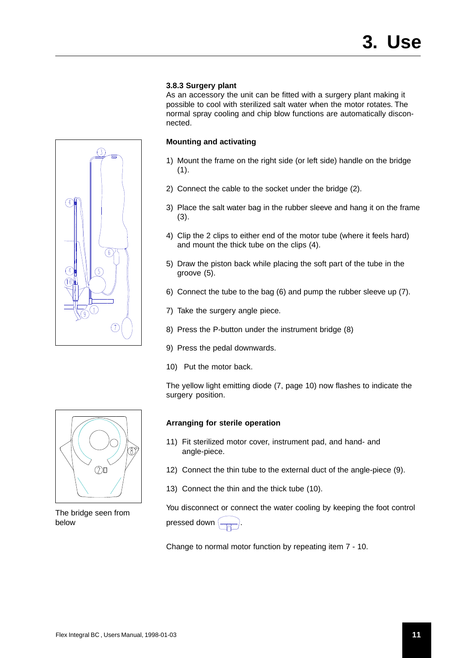#### **3.8.3 Surgery plant**

As an accessory the unit can be fitted with a surgery plant making it possible to cool with sterilized salt water when the motor rotates. The normal spray cooling and chip blow functions are automatically disconnected.

#### **Mounting and activating**

- 1) Mount the frame on the right side (or left side) handle on the bridge  $(1).$
- 2) Connect the cable to the socket under the bridge (2).
- 3) Place the salt water bag in the rubber sleeve and hang it on the frame (3).
- 4) Clip the 2 clips to either end of the motor tube (where it feels hard) and mount the thick tube on the clips (4).
- 5) Draw the piston back while placing the soft part of the tube in the groove (5).
- 6) Connect the tube to the bag (6) and pump the rubber sleeve up (7).
- 7) Take the surgery angle piece.
- 8) Press the P-button under the instrument bridge (8)
- 9) Press the pedal downwards.
- 10) Put the motor back.

The yellow light emitting diode (7, page 10) now flashes to indicate the surgery position.

#### **Arranging for sterile operation**

- 11) Fit sterilized motor cover, instrument pad, and hand- and angle-piece.
- 12) Connect the thin tube to the external duct of the angle-piece (9).
- 13) Connect the thin and the thick tube (10).

You disconnect or connect the water cooling by keeping the foot control pressed down  $\left(\rightleftarrows$ 

Change to normal motor function by repeating item 7 - 10.



<span id="page-10-0"></span> $\mathcal{G}$ 



The bridge seen from below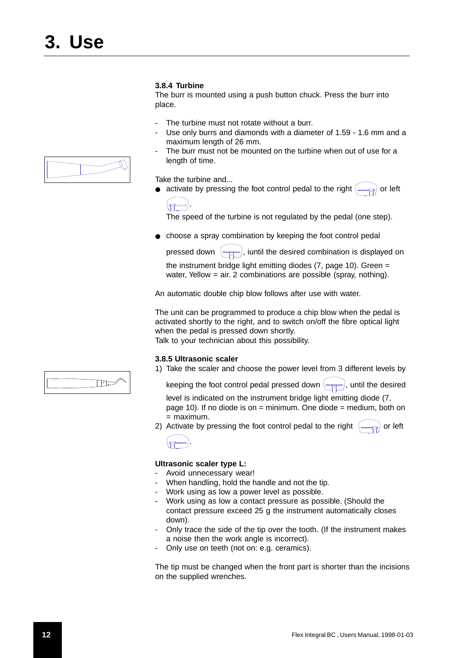#### <span id="page-11-0"></span>**3.8.4 Turbine**

The burr is mounted using a push button chuck. Press the burr into place.

- The turbine must not rotate without a burr.
- Use only burrs and diamonds with a diameter of 1.59 1.6 mm and a maximum length of 26 mm.
- The burr must not be mounted on the turbine when out of use for a length of time.

Take the turbine and...

activate by pressing the foot control pedal to the right  $\left(\frac{1}{\sqrt{2\pi}}\right)$  or left



The speed of the turbine is not regulated by the pedal (one step).

● choose a spray combination by keeping the foot control pedal

pressed down  $\left(\frac{1}{\sqrt{2}}\right)$ , iuntil the desired combination is displayed on

the instrument bridge light emitting diodes (7, page 10). Green = water, Yellow = air. 2 combinations are possible (spray, nothing).

An automatic double chip blow follows after use with water.

The unit can be programmed to produce a chip blow when the pedal is activated shortly to the right, and to switch on/off the fibre optical light when the pedal is pressed down shortly.

Talk to your technician about this possibility.

#### **3.8.5 Ultrasonic scaler**

1) Take the scaler and choose the power level from 3 different levels by

keeping the foot control pedal pressed down  $\left(\frac{1}{\sqrt{1-\frac{1}{n}}}\right)$ , until the desired

level is indicated on the instrument bridge light emitting diode (7, page 10). If no diode is on  $=$  minimum. One diode  $=$  medium, both on = maximum.

2) Activate by pressing the foot control pedal to the right  $\left(\rightleftharpoons\right)$  or left



#### **Ultrasonic scaler type L:**

- Avoid unnecessary wear!
- When handling, hold the handle and not the tip.
- Work using as low a power level as possible.
- Work using as low a contact pressure as possible. (Should the contact pressure exceed 25 g the instrument automatically closes down).
- Only trace the side of the tip over the tooth. (If the instrument makes a noise then the work angle is incorrect).
- Only use on teeth (not on: e.g. ceramics).

The tip must be changed when the front part is shorter than the incisions on the supplied wrenches.



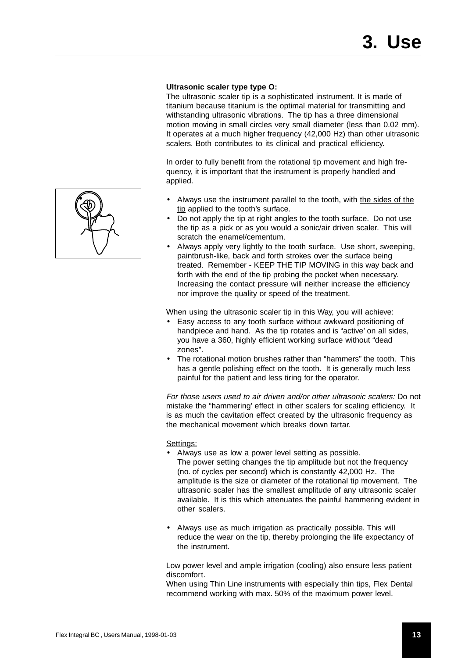#### **Ultrasonic scaler type type O:**

The ultrasonic scaler tip is a sophisticated instrument. It is made of titanium because titanium is the optimal material for transmitting and withstanding ultrasonic vibrations. The tip has a three dimensional motion moving in small circles very small diameter (less than 0.02 mm). It operates at a much higher frequency (42,000 Hz) than other ultrasonic scalers. Both contributes to its clinical and practical efficiency.

In order to fully benefit from the rotational tip movement and high frequency, it is important that the instrument is properly handled and applied.

- Always use the instrument parallel to the tooth, with the sides of the tip applied to the tooth's surface.
- Do not apply the tip at right angles to the tooth surface. Do not use the tip as a pick or as you would a sonic/air driven scaler. This will scratch the enamel/cementum.
- Always apply very lightly to the tooth surface. Use short, sweeping, paintbrush-like, back and forth strokes over the surface being treated. Remember - KEEP THE TIP MOVING in this way back and forth with the end of the tip probing the pocket when necessary. Increasing the contact pressure will neither increase the efficiency nor improve the quality or speed of the treatment.

When using the ultrasonic scaler tip in this Way, you will achieve:

- Easy access to any tooth surface without awkward positioning of handpiece and hand. As the tip rotates and is "active' on all sides, you have a 360, highly efficient working surface without "dead zones".
- The rotational motion brushes rather than "hammers" the tooth. This has a gentle polishing effect on the tooth. It is generally much less painful for the patient and less tiring for the operator.

For those users used to air driven and/or other ultrasonic scalers: Do not mistake the "hammering' effect in other scalers for scaling efficiency. It is as much the cavitation effect created by the ultrasonic frequency as the mechanical movement which breaks down tartar.

#### Settings:

- Always use as low a power level setting as possible. The power setting changes the tip amplitude but not the frequency (no. of cycles per second) which is constantly 42,000 Hz. The amplitude is the size or diameter of the rotational tip movement. The ultrasonic scaler has the smallest amplitude of any ultrasonic scaler available. It is this which attenuates the painful hammering evident in other scalers.
- Always use as much irrigation as practically possible. This will reduce the wear on the tip, thereby prolonging the life expectancy of the instrument.

Low power level and ample irrigation (cooling) also ensure less patient discomfort.

When using Thin Line instruments with especially thin tips, Flex Dental recommend working with max. 50% of the maximum power level.

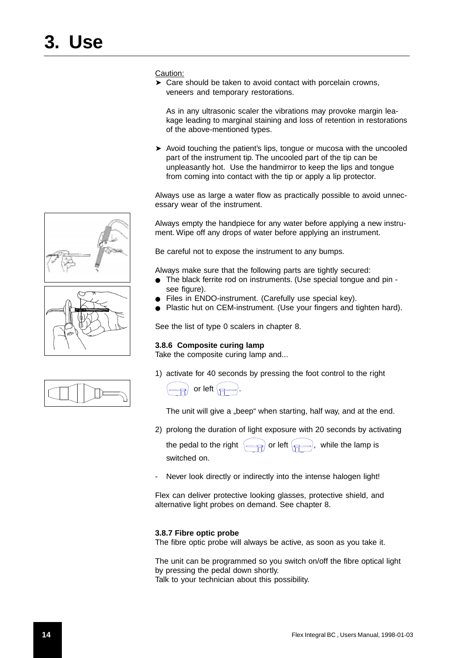<span id="page-13-0"></span>Caution:

➤ Care should be taken to avoid contact with porcelain crowns, veneers and temporary restorations.

As in any ultrasonic scaler the vibrations may provoke margin leakage leading to marginal staining and loss of retention in restorations of the above-mentioned types.

➤ Avoid touching the patient's lips, tongue or mucosa with the uncooled part of the instrument tip. The uncooled part of the tip can be unpleasantly hot. Use the handmirror to keep the lips and tongue from coming into contact with the tip or apply a lip protector.

Always use as large a water flow as practically possible to avoid unnecessary wear of the instrument.

Always empty the handpiece for any water before applying a new instrument. Wipe off any drops of water before applying an instrument.

Be careful not to expose the instrument to any bumps.

Always make sure that the following parts are tightly secured:

- The black ferrite rod on instruments. (Use special tongue and pin see figure).
- Files in ENDO-instrument. (Carefully use special key).
- Plastic hut on CEM-instrument. (Use your fingers and tighten hard).

See the list of type 0 scalers in chapter 8.

#### **3.8.6 Composite curing lamp**

Take the composite curing lamp and...

1) activate for 40 seconds by pressing the foot control to the right



The unit will give a "beep" when starting, half way, and at the end.

2) prolong the duration of light exposure with 20 seconds by activating

the pedal to the right  $\left(\right)$  or left  $\left(\right)$ , while the lamp is switched on.

Never look directly or indirectly into the intense halogen light!

Flex can deliver protective looking glasses, protective shield, and alternative light probes on demand. See chapter 8.

#### **3.8.7 Fibre optic probe**

The fibre optic probe will always be active, as soon as you take it.

The unit can be programmed so you switch on/off the fibre optical light by pressing the pedal down shortly. Talk to your technician about this possibility.



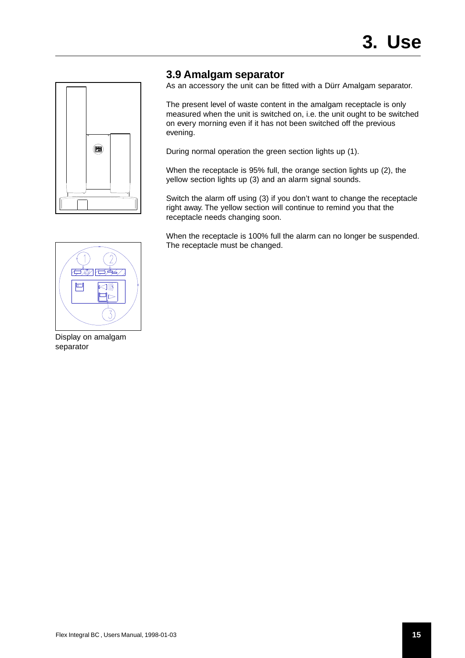<span id="page-14-0"></span>

### **3.9 Amalgam separator**

As an accessory the unit can be fitted with a Dürr Amalgam separator.

The present level of waste content in the amalgam receptacle is only measured when the unit is switched on, i.e. the unit ought to be switched on every morning even if it has not been switched off the previous evening.

During normal operation the green section lights up (1).

When the receptacle is 95% full, the orange section lights up (2), the yellow section lights up (3) and an alarm signal sounds.

Switch the alarm off using (3) if you don't want to change the receptacle right away. The yellow section will continue to remind you that the receptacle needs changing soon.

When the receptacle is 100% full the alarm can no longer be suspended. The receptacle must be changed.



Display on amalgam separator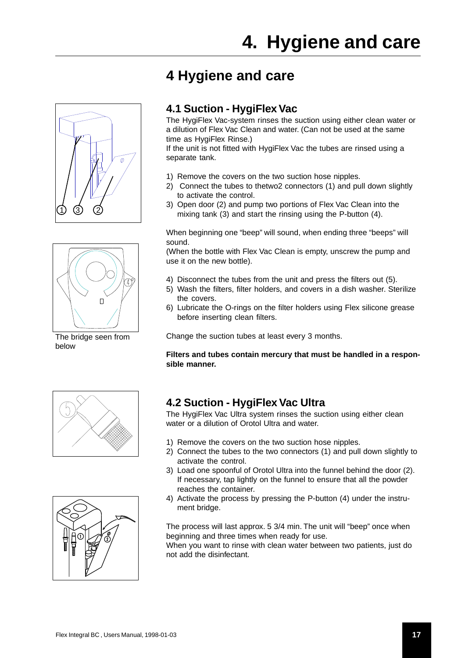<span id="page-16-0"></span>

# **4 Hygiene and care**

## **4.1 Suction - HygiFlex Vac**

The HygiFlex Vac-system rinses the suction using either clean water or a dilution of Flex Vac Clean and water. (Can not be used at the same time as HygiFlex Rinse.)

If the unit is not fitted with HygiFlex Vac the tubes are rinsed using a separate tank.

- 1) Remove the covers on the two suction hose nipples.
- 2) Connect the tubes to thetwo2 connectors (1) and pull down slightly to activate the control.
- 3) Open door (2) and pump two portions of Flex Vac Clean into the mixing tank (3) and start the rinsing using the P-button (4).

When beginning one "beep" will sound, when ending three "beeps" will sound.

(When the bottle with Flex Vac Clean is empty, unscrew the pump and use it on the new bottle).

- 4) Disconnect the tubes from the unit and press the filters out (5).
- 5) Wash the filters, filter holders, and covers in a dish washer. Sterilize the covers.
- 6) Lubricate the O-rings on the filter holders using Flex silicone grease before inserting clean filters.

Change the suction tubes at least every 3 months.

**Filters and tubes contain mercury that must be handled in a responsible manner.**





# **4.2 Suction - HygiFlex Vac Ultra**

The HygiFlex Vac Ultra system rinses the suction using either clean water or a dilution of Orotol Ultra and water.

- 1) Remove the covers on the two suction hose nipples.
- 2) Connect the tubes to the two connectors (1) and pull down slightly to activate the control.
- 3) Load one spoonful of Orotol Ultra into the funnel behind the door (2). If necessary, tap lightly on the funnel to ensure that all the powder reaches the container.
- 4) Activate the process by pressing the P-button (4) under the instrument bridge.

The process will last approx. 5 3/4 min. The unit will "beep" once when beginning and three times when ready for use.

When you want to rinse with clean water between two patients, just do not add the disinfectant.



below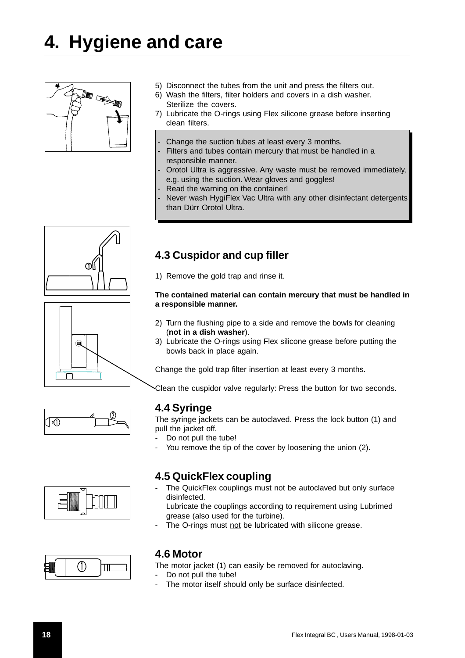# <span id="page-17-0"></span>**4. Hygiene and care**



- 5) Disconnect the tubes from the unit and press the filters out.
- 6) Wash the filters, filter holders and covers in a dish washer. Sterilize the covers.
- 7) Lubricate the O-rings using Flex silicone grease before inserting clean filters.
- Change the suction tubes at least every 3 months.
- Filters and tubes contain mercury that must be handled in a responsible manner.
- Orotol Ultra is aggressive. Any waste must be removed immediately, e.g. using the suction. Wear gloves and goggles!
- Read the warning on the container!

**4.3 Cuspidor and cup filler**

Never wash HygiFlex Vac Ultra with any other disinfectant detergents than Dürr Orotol Ultra.



## 1) Remove the gold trap and rinse it. **The contained material can contain mercury that must be handled in a responsible manner.**

- 2) Turn the flushing pipe to a side and remove the bowls for cleaning (**not in a dish washer**).
- 3) Lubricate the O-rings using Flex silicone grease before putting the bowls back in place again.

Change the gold trap filter insertion at least every 3 months.

Clean the cuspidor valve regularly: Press the button for two seconds.

### **4.4 Syringe**

The syringe jackets can be autoclaved. Press the lock button (1) and pull the jacket off.

- Do not pull the tube!
- You remove the tip of the cover by loosening the union (2).

### **4.5 QuickFlex coupling**

The QuickFlex couplings must not be autoclaved but only surface disinfected.

Lubricate the couplings according to requirement using Lubrimed grease (also used for the turbine).

The O-rings must not be lubricated with silicone grease.



### **4.6 Motor**

The motor jacket (1) can easily be removed for autoclaving.

- Do not pull the tube!
- The motor itself should only be surface disinfected.



圇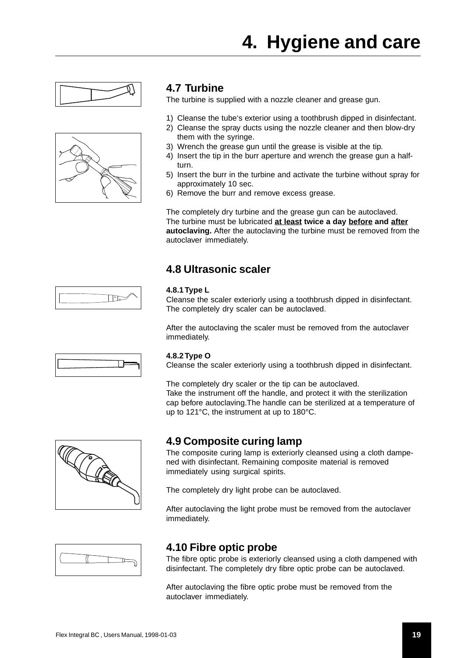# **4. Hygiene and care**

<span id="page-18-0"></span>



# **4.7 Turbine**

The turbine is supplied with a nozzle cleaner and grease gun.

- 1) Cleanse the tube's exterior using a toothbrush dipped in disinfectant.
- 2) Cleanse the spray ducts using the nozzle cleaner and then blow-dry them with the syringe.
- 3) Wrench the grease gun until the grease is visible at the tip.
- 4) Insert the tip in the burr aperture and wrench the grease gun a halfturn.
- 5) Insert the burr in the turbine and activate the turbine without spray for approximately 10 sec.
- 6) Remove the burr and remove excess grease.

The completely dry turbine and the grease gun can be autoclaved. The turbine must be lubricated **at least twice a day before and after autoclaving.** After the autoclaving the turbine must be removed from the autoclaver immediately.

# **4.8 Ultrasonic scaler**

#### **4.8.1 Type L**

Cleanse the scaler exteriorly using a toothbrush dipped in disinfectant. The completely dry scaler can be autoclaved.

After the autoclaving the scaler must be removed from the autoclaver immediately.

#### **4.8.2 Type O**

Cleanse the scaler exteriorly using a toothbrush dipped in disinfectant.

The completely dry scaler or the tip can be autoclaved. Take the instrument off the handle, and protect it with the sterilization cap before autoclaving.The handle can be sterilized at a temperature of up to 121°C, the instrument at up to 180°C.



### **4.9 Composite curing lamp**

The composite curing lamp is exteriorly cleansed using a cloth dampened with disinfectant. Remaining composite material is removed immediately using surgical spirits.

The completely dry light probe can be autoclaved.

After autoclaving the light probe must be removed from the autoclaver immediately.



# **4.10 Fibre optic probe**

The fibre optic probe is exteriorly cleansed using a cloth dampened with disinfectant. The completely dry fibre optic probe can be autoclaved.

After autoclaving the fibre optic probe must be removed from the autoclaver immediately.



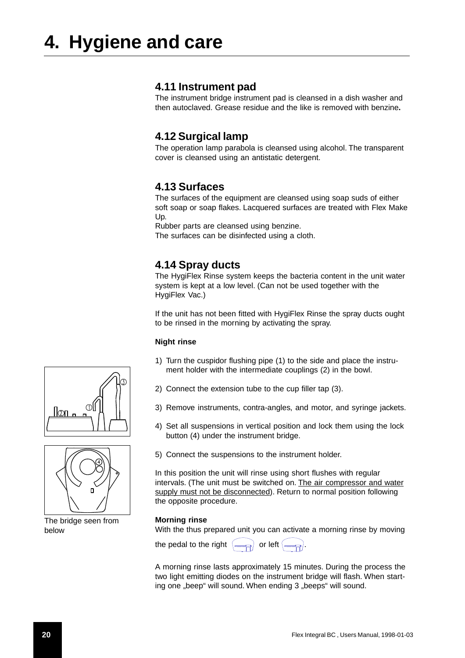### <span id="page-19-0"></span>**4.11 Instrument pad**

The instrument bridge instrument pad is cleansed in a dish washer and then autoclaved. Grease residue and the like is removed with benzine**.**

### **4.12 Surgical lamp**

The operation lamp parabola is cleansed using alcohol. The transparent cover is cleansed using an antistatic detergent.

## **4.13 Surfaces**

The surfaces of the equipment are cleansed using soap suds of either soft soap or soap flakes. Lacquered surfaces are treated with Flex Make Up.

Rubber parts are cleansed using benzine.

The surfaces can be disinfected using a cloth.

## **4.14 Spray ducts**

The HygiFlex Rinse system keeps the bacteria content in the unit water system is kept at a low level. (Can not be used together with the HygiFlex Vac.)

If the unit has not been fitted with HygiFlex Rinse the spray ducts ought to be rinsed in the morning by activating the spray.

#### **Night rinse**

- 1) Turn the cuspidor flushing pipe (1) to the side and place the instrument holder with the intermediate couplings (2) in the bowl.
- 2) Connect the extension tube to the cup filler tap (3).
- 3) Remove instruments, contra-angles, and motor, and syringe jackets.
- 4) Set all suspensions in vertical position and lock them using the lock button (4) under the instrument bridge.
- 5) Connect the suspensions to the instrument holder.

In this position the unit will rinse using short flushes with regular intervals. (The unit must be switched on. The air compressor and water supply must not be disconnected). Return to normal position following the opposite procedure.

#### **Morning rinse**

With the thus prepared unit you can activate a morning rinse by moving

the pedal to the right  $\left(\frac{1}{\sqrt{2}}\right)$  or left  $\left(\frac{1}{2}\right)$ 

A morning rinse lasts approximately 15 minutes. During the process the two light emitting diodes on the instrument bridge will flash. When starting one "beep" will sound. When ending 3 "beeps" will sound.





The bridge seen from below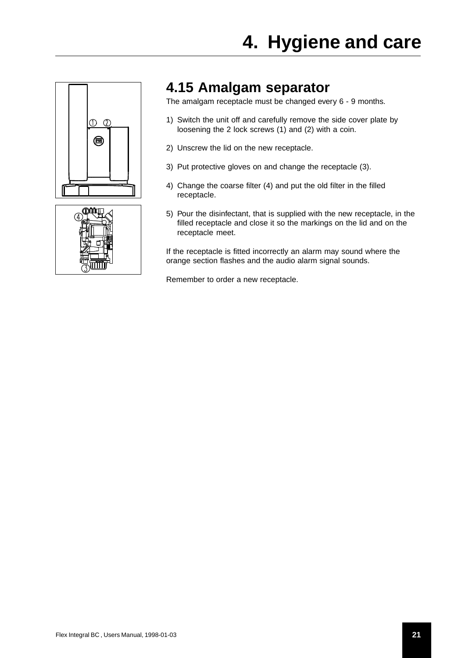<span id="page-20-0"></span>



# **4.15 Amalgam separator**

The amalgam receptacle must be changed every 6 - 9 months.

- 1) Switch the unit off and carefully remove the side cover plate by loosening the 2 lock screws (1) and (2) with a coin.
- 2) Unscrew the lid on the new receptacle.
- 3) Put protective gloves on and change the receptacle (3).
- 4) Change the coarse filter (4) and put the old filter in the filled receptacle.
- 5) Pour the disinfectant, that is supplied with the new receptacle, in the filled receptacle and close it so the markings on the lid and on the receptacle meet.

If the receptacle is fitted incorrectly an alarm may sound where the orange section flashes and the audio alarm signal sounds.

Remember to order a new receptacle.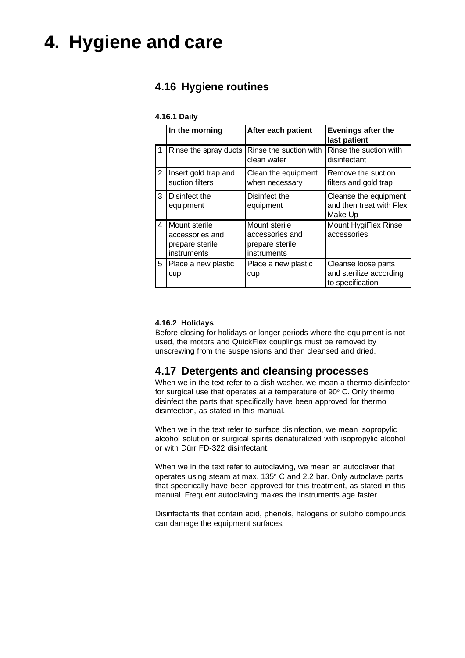# <span id="page-21-0"></span>**4. Hygiene and care**

# **4.16 Hygiene routines**

#### **4.16.1 Daily**

|    | In the morning                                                     | After each patient                                                 | <b>Evenings after the</b><br>last patient                          |
|----|--------------------------------------------------------------------|--------------------------------------------------------------------|--------------------------------------------------------------------|
| -1 |                                                                    | Rinse the spray ducts   Rinse the suction with<br>clean water      | Rinse the suction with<br>disinfectant                             |
| 2  | Insert gold trap and<br>suction filters                            | Clean the equipment<br>when necessary                              | Remove the suction<br>filters and gold trap                        |
| 3  | Disinfect the<br>equipment                                         | Disinfect the<br>equipment                                         | Cleanse the equipment<br>and then treat with Flex<br>Make Up       |
| 4  | Mount sterile<br>accessories and<br>prepare sterile<br>instruments | Mount sterile<br>accessories and<br>prepare sterile<br>instruments | Mount HygiFlex Rinse<br>accessories                                |
| 5  | Place a new plastic<br>cup                                         | Place a new plastic<br>cup                                         | Cleanse loose parts<br>and sterilize according<br>to specification |

#### **4.16.2 Holidays**

Before closing for holidays or longer periods where the equipment is not used, the motors and QuickFlex couplings must be removed by unscrewing from the suspensions and then cleansed and dried.

### **4.17 Detergents and cleansing processes**

When we in the text refer to a dish washer, we mean a thermo disinfector for surgical use that operates at a temperature of  $90^{\circ}$  C. Only thermo disinfect the parts that specifically have been approved for thermo disinfection, as stated in this manual.

When we in the text refer to surface disinfection, we mean isopropylic alcohol solution or surgical spirits denaturalized with isopropylic alcohol or with Dürr FD-322 disinfectant.

When we in the text refer to autoclaving, we mean an autoclaver that operates using steam at max. 135 $\degree$  C and 2.2 bar. Only autoclave parts that specifically have been approved for this treatment, as stated in this manual. Frequent autoclaving makes the instruments age faster.

Disinfectants that contain acid, phenols, halogens or sulpho compounds can damage the equipment surfaces.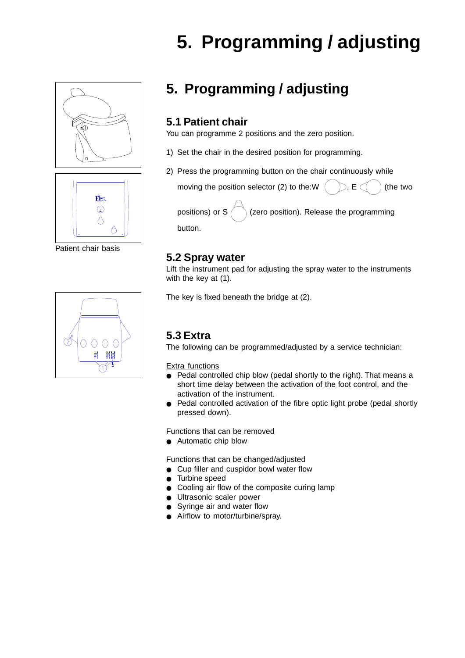# **5. Programming / adjusting**





Patient chair basis



# **5. Programming / adjusting**

## **5.1 Patient chair**

You can programme 2 positions and the zero position.

- 1) Set the chair in the desired position for programming.
- 2) Press the programming button on the chair continuously while

moving the position selector (2) to the:W  $( )$ ,  $E$   $( )$  (the two positions) or  $S \cap \mathcal{S}$  (zero position). Release the programming

button.

## **5.2 Spray water**

Lift the instrument pad for adjusting the spray water to the instruments with the key at (1).

The key is fixed beneath the bridge at (2).

# **5.3 Extra**

The following can be programmed/adjusted by a service technician:

Extra functions

- Pedal controlled chip blow (pedal shortly to the right). That means a short time delay between the activation of the foot control, and the activation of the instrument.
- Pedal controlled activation of the fibre optic light probe (pedal shortly pressed down).

Functions that can be removed

● Automatic chip blow

Functions that can be changed/adjusted

- Cup filler and cuspidor bowl water flow
- Turbine speed
- Cooling air flow of the composite curing lamp
- Ultrasonic scaler power
- Syringe air and water flow
- Airflow to motor/turbine/spray.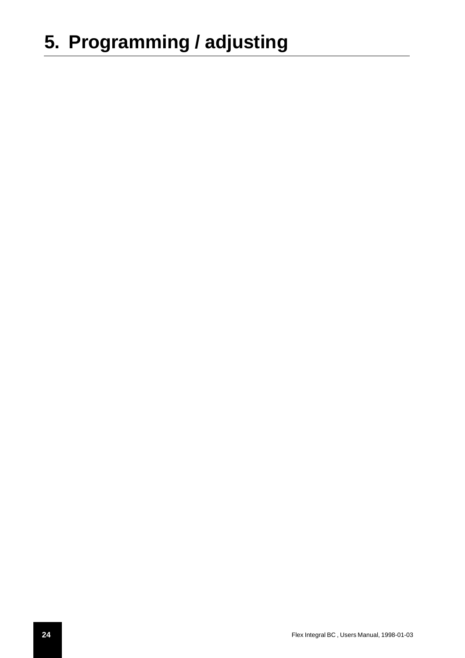# **5. Programming / adjusting**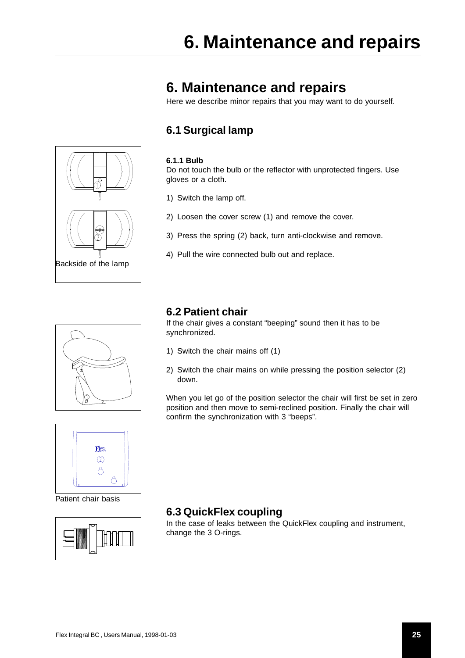# <span id="page-24-0"></span>**6. Maintenance and repairs**

Here we describe minor repairs that you may want to do yourself.

# **6.1 Surgical lamp**

#### **6.1.1 Bulb**

Do not touch the bulb or the reflector with unprotected fingers. Use gloves or a cloth.

- 1) Switch the lamp off.
- 2) Loosen the cover screw (1) and remove the cover.
- 3) Press the spring (2) back, turn anti-clockwise and remove.
- 4) Pull the wire connected bulb out and replace.



Backside of the lamp

## **6.2 Patient chair**

synchronized.

- 1) Switch the chair mains off (1)
- 2) Switch the chair mains on while pressing the position selector (2) down.

When you let go of the position selector the chair will first be set in zero position and then move to semi-reclined position. Finally the chair will confirm the synchronization with 3 "beeps".



Patient chair basis



# **6.3 QuickFlex coupling**

In the case of leaks between the QuickFlex coupling and instrument, change the 3 O-rings.

If the chair gives a constant "beeping" sound then it has to be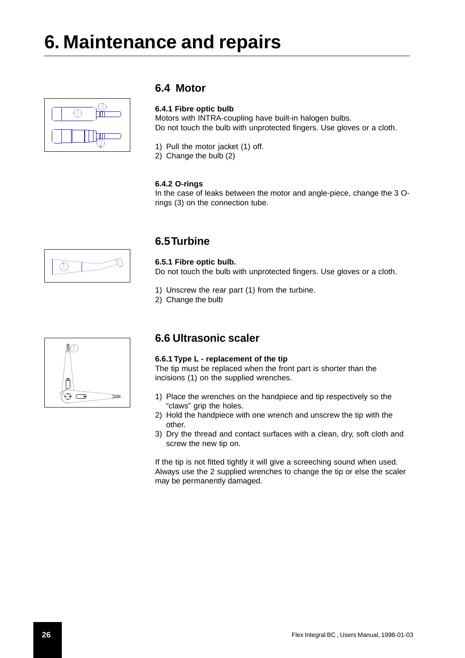<span id="page-25-0"></span>

### **6.4 Motor**

#### **6.4.1 Fibre optic bulb**

Motors with INTRA-coupling have built-in halogen bulbs. Do not touch the bulb with unprotected fingers. Use gloves or a cloth.

- 1) Pull the motor jacket (1) off.
- 2) Change the bulb (2)

#### **6.4.2 O-rings**

In the case of leaks between the motor and angle-piece, change the 3 Orings (3) on the connection tube.

# $\circled{1}$

# **6.5 Turbine**

**6.5.1 Fibre optic bulb.** Do not touch the bulb with unprotected fingers. Use gloves or a cloth.

- 1) Unscrew the rear part (1) from the turbine.
- 2) Change the bulb

# M) Ē

# **6.6 Ultrasonic scaler**

#### **6.6.1 Type L - replacement of the tip**

The tip must be replaced when the front part is shorter than the incisions (1) on the supplied wrenches.

- 1) Place the wrenches on the handpiece and tip respectively so the "claws" grip the holes.
- 2) Hold the handpiece with one wrench and unscrew the tip with the other.
- 3) Dry the thread and contact surfaces with a clean, dry, soft cloth and screw the new tip on.

If the tip is not fitted tightly it will give a screeching sound when used. Always use the 2 supplied wrenches to change the tip or else the scaler may be permanently damaged.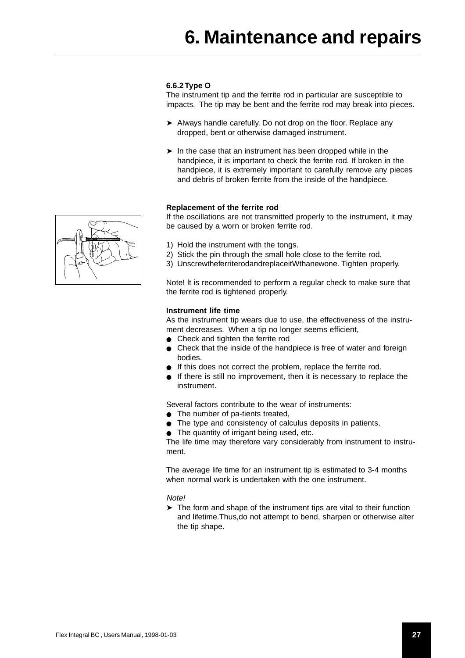#### <span id="page-26-0"></span>**6.6.2 Type O**

The instrument tip and the ferrite rod in particular are susceptible to impacts. The tip may be bent and the ferrite rod may break into pieces.

- ➤ Always handle carefully. Do not drop on the floor. Replace any dropped, bent or otherwise damaged instrument.
- ➤ In the case that an instrument has been dropped while in the handpiece, it is important to check the ferrite rod. If broken in the handpiece, it is extremely important to carefully remove any pieces and debris of broken ferrite from the inside of the handpiece.

#### **Replacement of the ferrite rod**

If the oscillations are not transmitted properly to the instrument, it may be caused by a worn or broken ferrite rod.

- 1) Hold the instrument with the tongs.
- 2) Stick the pin through the small hole close to the ferrite rod.
- 3) UnscrewtheferriterodandreplaceitWthanewone. Tighten properly.

Note! lt is recommended to perform a regular check to make sure that the ferrite rod is tightened properly.

#### **Instrument life time**

As the instrument tip wears due to use, the effectiveness of the instrument decreases. When a tip no longer seems efficient,

- Check and tighten the ferrite rod
- Check that the inside of the handpiece is free of water and foreign bodies.
- If this does not correct the problem, replace the ferrite rod.
- If there is still no improvement, then it is necessary to replace the instrument.

Several factors contribute to the wear of instruments:

- The number of pa-tients treated,
- The type and consistency of calculus deposits in patients,
- The quantity of irrigant being used, etc.

The life time may therefore vary considerably from instrument to instrument.

The average life time for an instrument tip is estimated to 3-4 months when normal work is undertaken with the one instrument.

#### Note!

➤ The form and shape of the instrument tips are vital to their function and lifetime.Thus,do not attempt to bend, sharpen or otherwise alter the tip shape.

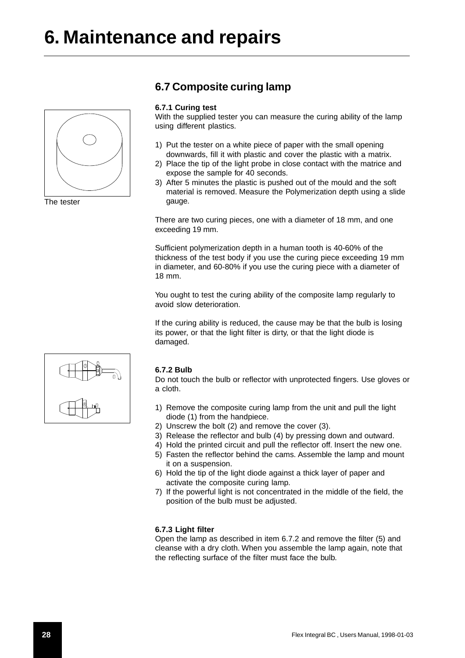<span id="page-27-0"></span>

The tester

## **6.7 Composite curing lamp**

#### **6.7.1 Curing test**

With the supplied tester you can measure the curing ability of the lamp using different plastics.

- 1) Put the tester on a white piece of paper with the small opening downwards, fill it with plastic and cover the plastic with a matrix.
- 2) Place the tip of the light probe in close contact with the matrice and expose the sample for 40 seconds.
- 3) After 5 minutes the plastic is pushed out of the mould and the soft material is removed. Measure the Polymerization depth using a slide gauge.

There are two curing pieces, one with a diameter of 18 mm, and one exceeding 19 mm.

Sufficient polymerization depth in a human tooth is 40-60% of the thickness of the test body if you use the curing piece exceeding 19 mm in diameter, and 60-80% if you use the curing piece with a diameter of 18 mm.

You ought to test the curing ability of the composite lamp regularly to avoid slow deterioration.

If the curing ability is reduced, the cause may be that the bulb is losing its power, or that the light filter is dirty, or that the light diode is damaged.



#### **6.7.2 Bulb**

Do not touch the bulb or reflector with unprotected fingers. Use gloves or a cloth.

- 1) Remove the composite curing lamp from the unit and pull the light diode (1) from the handpiece.
- 2) Unscrew the bolt (2) and remove the cover (3).
- 3) Release the reflector and bulb (4) by pressing down and outward.
- 4) Hold the printed circuit and pull the reflector off. Insert the new one.
- 5) Fasten the reflector behind the cams. Assemble the lamp and mount it on a suspension.
- 6) Hold the tip of the light diode against a thick layer of paper and activate the composite curing lamp.
- 7) If the powerful light is not concentrated in the middle of the field, the position of the bulb must be adjusted.

#### **6.7.3 Light filter**

Open the lamp as described in item 6.7.2 and remove the filter (5) and cleanse with a dry cloth. When you assemble the lamp again, note that the reflecting surface of the filter must face the bulb.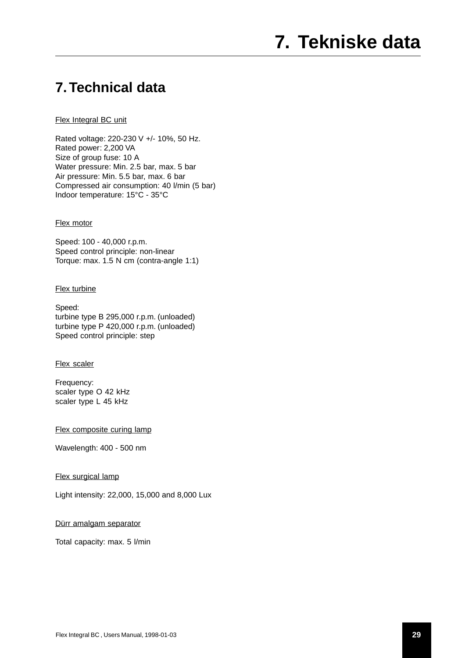# **7. Technical data**

#### Flex Integral BC unit

Rated voltage: 220-230 V +/- 10%, 50 Hz. Rated power: 2,200 VA Size of group fuse: 10 A Water pressure: Min. 2.5 bar, max. 5 bar Air pressure: Min. 5.5 bar, max. 6 bar Compressed air consumption: 40 l/min (5 bar) Indoor temperature: 15°C - 35°C

#### **Flex motor**

Speed: 100 - 40,000 r.p.m. Speed control principle: non-linear Torque: max. 1.5 N cm (contra-angle 1:1)

#### Flex turbine

Speed: turbine type B 295,000 r.p.m. (unloaded) turbine type P 420,000 r.p.m. (unloaded) Speed control principle: step

#### Flex scaler

Frequency: scaler type O 42 kHz scaler type L 45 kHz

Flex composite curing lamp

Wavelength: 400 - 500 nm

#### Flex surgical lamp

Light intensity: 22,000, 15,000 and 8,000 Lux

#### Dürr amalgam separator

Total capacity: max. 5 l/min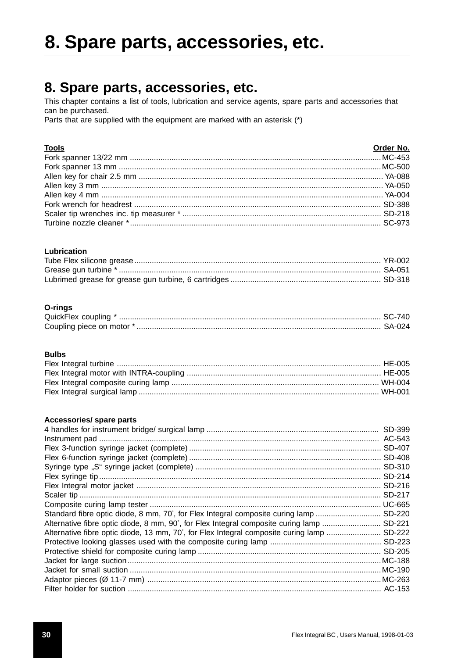# 8. Spare parts, accessories, etc.

# 8. Spare parts, accessories, etc.

This chapter contains a list of tools, lubrication and service agents, spare parts and accessories that can be purchased.

Parts that are supplied with the equipment are marked with an asterisk (\*)

#### **Tools**

| <b>Tools</b> | Order No. |
|--------------|-----------|
|              |           |
|              |           |
|              |           |
|              |           |
|              |           |
|              |           |
|              |           |
|              |           |

#### Lubrication

#### O-rings

| Coupling piece on motor *. |  |
|----------------------------|--|

#### **Bulbs**

#### Accessories/ spare parts

|                                                                                    | SD-399 |
|------------------------------------------------------------------------------------|--------|
|                                                                                    |        |
|                                                                                    |        |
|                                                                                    |        |
|                                                                                    |        |
|                                                                                    | SD-214 |
|                                                                                    | SD-216 |
|                                                                                    | SD-217 |
|                                                                                    |        |
| Standard fibre optic diode, 8 mm, 70°, for Flex Integral composite curing lamp     | SD-220 |
| Alternative fibre optic diode, 8 mm, 90°, for Flex Integral composite curing lamp  | SD-221 |
| Alternative fibre optic diode, 13 mm, 70°, for Flex Integral composite curing lamp | SD-222 |
|                                                                                    |        |
|                                                                                    |        |
|                                                                                    |        |
|                                                                                    |        |
|                                                                                    |        |
|                                                                                    |        |
|                                                                                    |        |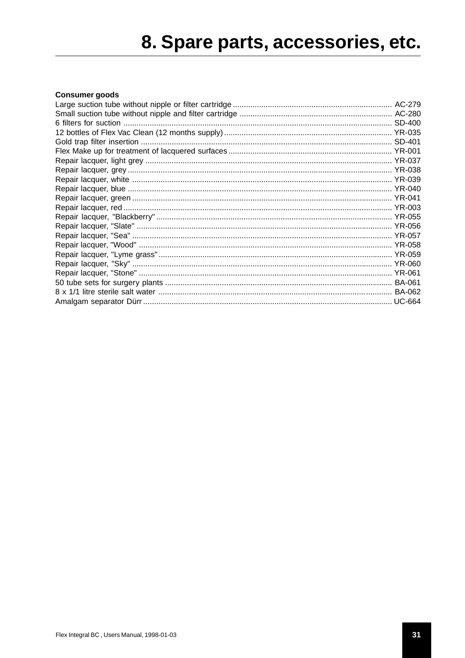# 8. Spare parts, accessories, etc.

#### **Consumer goods**

| Large suction tube without nipple or filter cartridge …………………………………………………………………… AC-279 |  |
|-----------------------------------------------------------------------------------------|--|
|                                                                                         |  |
|                                                                                         |  |
|                                                                                         |  |
|                                                                                         |  |
|                                                                                         |  |
|                                                                                         |  |
|                                                                                         |  |
|                                                                                         |  |
|                                                                                         |  |
|                                                                                         |  |
|                                                                                         |  |
|                                                                                         |  |
|                                                                                         |  |
|                                                                                         |  |
|                                                                                         |  |
|                                                                                         |  |
|                                                                                         |  |
|                                                                                         |  |
|                                                                                         |  |
|                                                                                         |  |
|                                                                                         |  |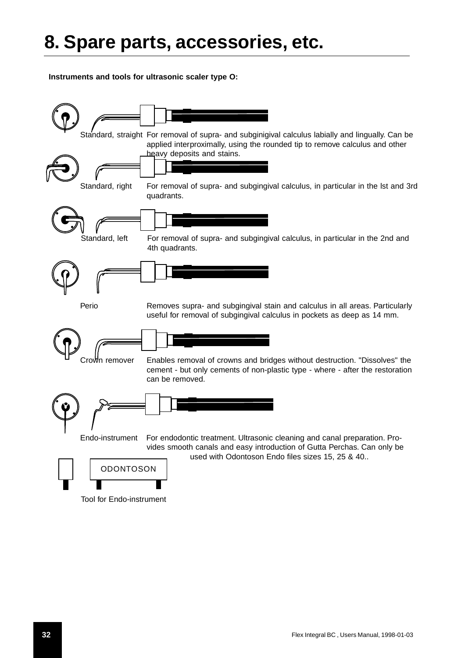**Instruments and tools for ultrasonic scaler type O:**



Tool for Endo-instrument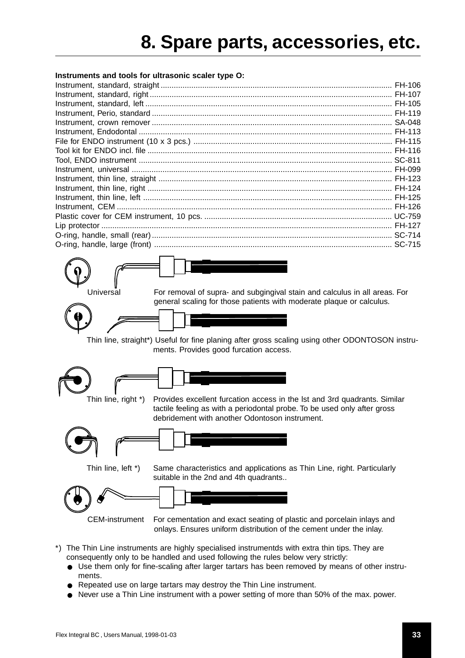#### **Instruments and tools for ultrasonic scaler type O:**



Universal For removal of supra- and subgingival stain and calculus in all areas. For general scaling for those patients with moderate plaque or calculus.

Thin line, straight\*) Useful for fine planing after gross scaling using other ODONTOSON instruments. Provides good furcation access.





Thin line, right \*) Provides excellent furcation access in the lst and 3rd quadrants. Similar tactile feeling as with a periodontal probe. To be used only after gross debridement with another Odontoson instrument.



Thin line, left \*) Same characteristics and applications as Thin Line, right. Particularly suitable in the 2nd and 4th quadrants..



CEM-instrument For cementation and exact seating of plastic and porcelain inlays and onlays. Ensures uniform distribution of the cement under the inlay.

- \*) The Thin Line instruments are highly specialised instrumentds with extra thin tips. They are consequently only to be handled and used following the rules below very strictly:
	- Use them only for fine-scaling after larger tartars has been removed by means of other instruments.
	- Repeated use on large tartars may destroy the Thin Line instrument.
	- Never use a Thin Line instrument with a power setting of more than 50% of the max. power.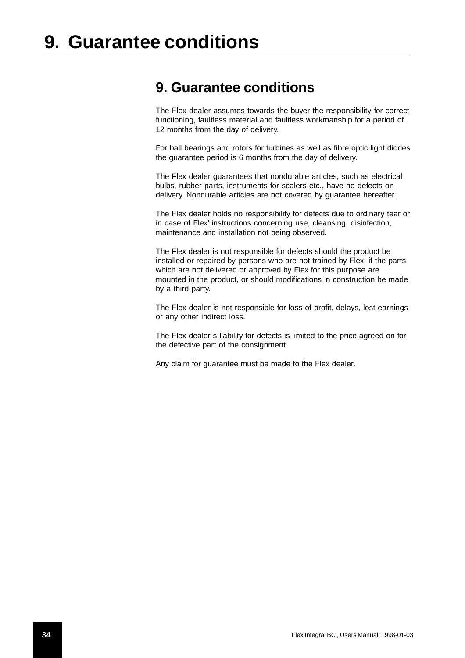# **9. Guarantee conditions**

The Flex dealer assumes towards the buyer the responsibility for correct functioning, faultless material and faultless workmanship for a period of 12 months from the day of delivery.

For ball bearings and rotors for turbines as well as fibre optic light diodes the guarantee period is 6 months from the day of delivery.

The Flex dealer guarantees that nondurable articles, such as electrical bulbs, rubber parts, instruments for scalers etc., have no defects on delivery. Nondurable articles are not covered by guarantee hereafter.

The Flex dealer holds no responsibility for defects due to ordinary tear or in case of Flex' instructions concerning use, cleansing, disinfection, maintenance and installation not being observed.

The Flex dealer is not responsible for defects should the product be installed or repaired by persons who are not trained by Flex, if the parts which are not delivered or approved by Flex for this purpose are mounted in the product, or should modifications in construction be made by a third party.

The Flex dealer is not responsible for loss of profit, delays, lost earnings or any other indirect loss.

The Flex dealer´s liability for defects is limited to the price agreed on for the defective part of the consignment

Any claim for guarantee must be made to the Flex dealer.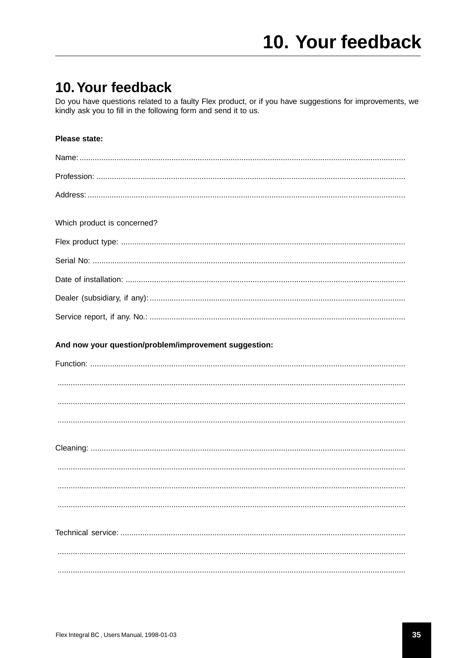# 10. Your feedback

Do you have questions related to a faulty Flex product, or if you have suggestions for improvements, we kindly ask you to fill in the following form and send it to us.

#### Please state:

| Which product is concerned?                           |
|-------------------------------------------------------|
|                                                       |
|                                                       |
|                                                       |
|                                                       |
|                                                       |
| And now your question/problem/improvement suggestion: |
|                                                       |
|                                                       |
|                                                       |
|                                                       |
|                                                       |
|                                                       |
|                                                       |
|                                                       |
|                                                       |
|                                                       |
|                                                       |